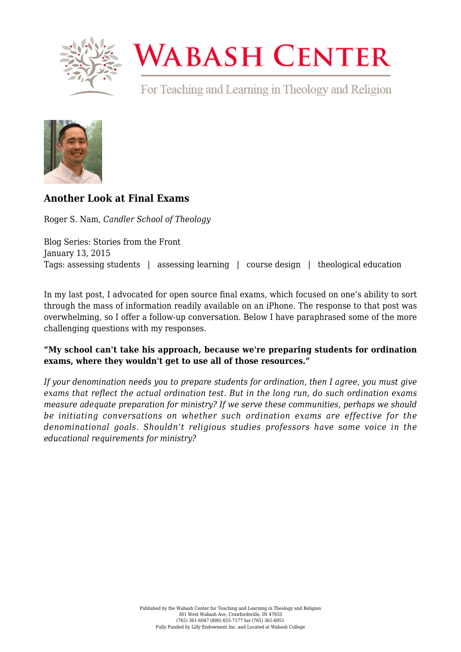

# **WABASH CENTER**

For Teaching and Learning in Theology and Religion



# **[Another Look at Final Exams](https://www.wabashcenter.wabash.edu/2015/01/another-look-at-final-exams/)**

Roger S. Nam, *Candler School of Theology*

Blog Series: Stories from the Front January 13, 2015 Tags: assessing students | assessing learning | course design | theological education

In my last [post](https://www.wabashcenter.wabash.edu/2014/12/cheat-proof-your-final-exam-guaranteed/), I advocated for open source final exams, which focused on one's ability to sort through the mass of information readily available on an iPhone. The response to that post was overwhelming, so I offer a follow-up conversation. Below I have paraphrased some of the more challenging questions with my responses.

### **"My school can't take his approach, because we're preparing students for ordination exams, where they wouldn't get to use all of those resources."**

*If your denomination needs you to prepare students for ordination, then I agree, you must give exams that reflect the actual ordination test. But in the long run, do such ordination exams measure adequate preparation for ministry? If we serve these communities, perhaps we should be initiating conversations on whether such ordination exams are effective for the denominational goals. Shouldn't religious studies professors have some voice in the educational requirements for ministry?*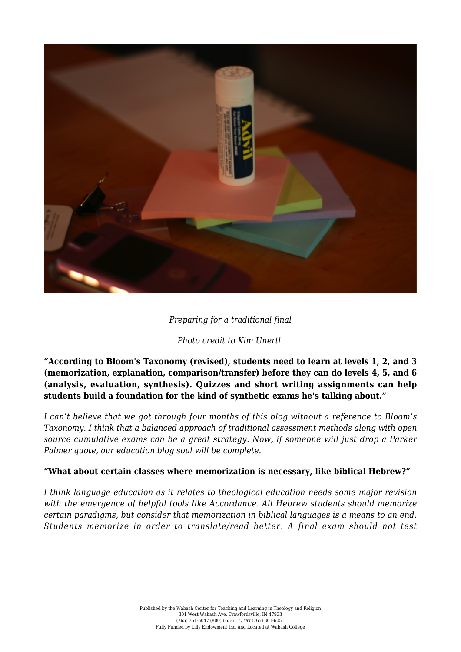

#### *Preparing for a traditional final*

#### *Photo credit to [Kim Unertl](https://www.flickr.com/photos/kimtimnashville/2298452881/in/photolist-4v7aXX-9uwDqX-usqin-uNhS8-7ZMhhw-dxz3rA-9Q7VLR-7mUv9v-dzYzA6-txwgd-4RNfRY-25SjT-9uwDsT-25SjS-9uLuy8-25SjR-4C82Xk-4RJ4tx-A58Cb-893oTK-j1MSk8-4RJ6xT-bWgJiD-nBWSoF-nC1EEd-nE1UHH-nAc7FY-nE1UZK-nCerB5-nkKgHn-nkK8Uj-nE1V5K-nkK3nL-nBWRMF-nkKgR8-nCes4s-nkK3bd-nE1UzB-nCeJqM-nCert9-nCerEb-nkK2Ub-nCeJfB-nCerQb-nkK8ZE-chHH61-i7ci6J-chHBhE-chHH4L-9DDJuq))*

**"According to Bloom's Taxonomy (revised), students need to learn at levels 1, 2, and 3 (memorization, explanation, comparison/transfer) before they can do levels 4, 5, and 6 (analysis, evaluation, synthesis). Quizzes and short writing assignments can help students build a foundation for the kind of synthetic exams he's talking about."**

*I can't believe that we got through four months of this blog without a reference to Bloom's Taxonomy. I think that a balanced approach of traditional assessment methods along with open source cumulative exams can be a great strategy. Now, if someone will just drop a Parker Palmer quote, our education blog soul will be complete.*

#### **"What about certain classes where memorization is necessary, like biblical Hebrew?"**

*I think language education as it relates to theological education needs some major revision with the emergence of helpful tools like Accordance. All Hebrew students should memorize certain paradigms, but consider that memorization in biblical languages is a means to an end. Students memorize in order to translate/read better. A final exam should not test*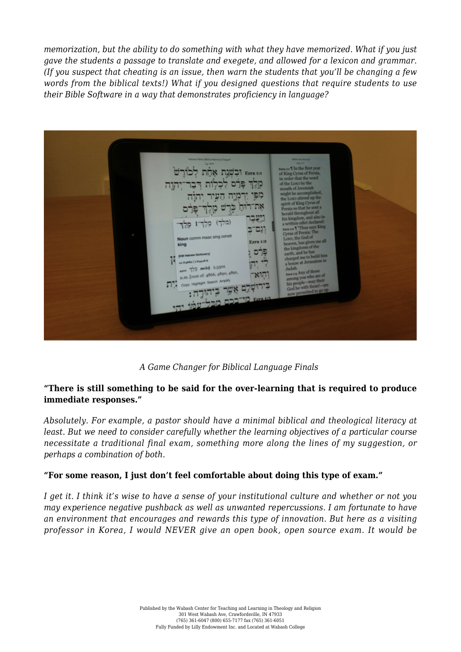*memorization, but the ability to do something with what they have memorized. What if you just gave the students a passage to translate and exegete, and allowed for a lexicon and grammar. (If you suspect that cheating is an issue, then warn the students that you'll be changing a few words from the biblical texts!) What if you designed questions that require students to use their Bible Software in a way that demonstrates proficiency in language?*

Ezra 1:1 Ezra 1:1 מפי את ו ייעב וגם־ב www.masc.sing.co **Ezra 1:2** פרס an La Hitat  $777$  melek 2,530x [c] (root of: 4866, 4890, 489  $811$ 

*A Game Changer for Biblical Language Finals*

#### **"There is still something to be said for the over-learning that is required to produce immediate responses."**

*Absolutely. For example, a pastor should have a minimal biblical and theological literacy at least. But we need to consider carefully whether the learning objectives of a particular course necessitate a traditional final exam, something more along the lines of my suggestion, or perhaps a combination of both.*

#### **"For some reason, I just don't feel comfortable about doing this type of exam."**

*I get it. I think it's wise to have a sense of your institutional culture and whether or not you may experience negative pushback as well as unwanted repercussions. I am fortunate to have an environment that encourages and rewards this type of innovation. But here as a visiting professor in Korea, I would NEVER give an open book, open source exam. It would be*